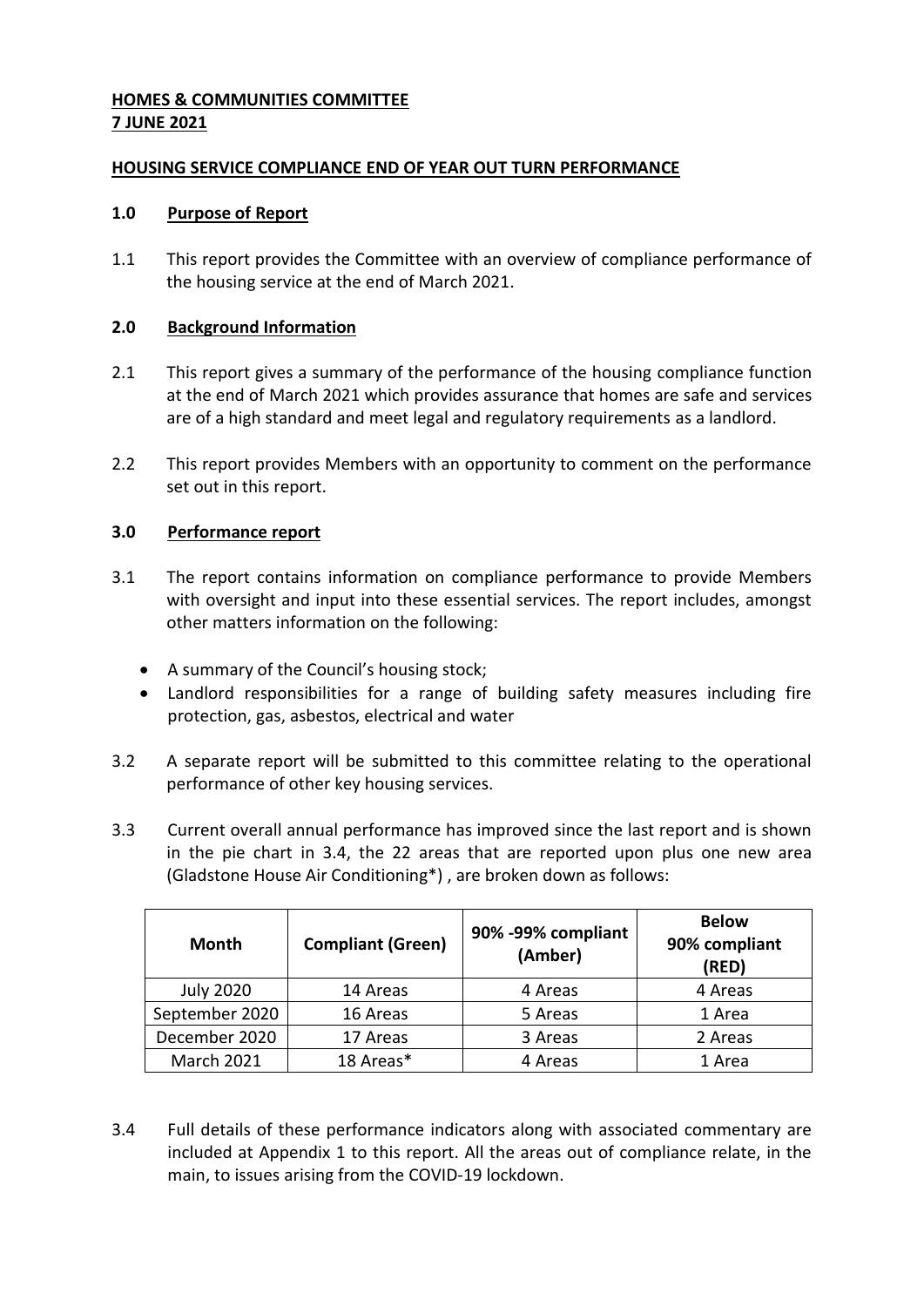#### **HOMES & COMMUNITIES COMMITTEE 7 JUNE 2021**

#### **HOUSING SERVICE COMPLIANCE END OF YEAR OUT TURN PERFORMANCE**

#### **1.0 Purpose of Report**

1.1 This report provides the Committee with an overview of compliance performance of the housing service at the end of March 2021.

#### **2.0 Background Information**

- 2.1 This report gives a summary of the performance of the housing compliance function at the end of March 2021 which provides assurance that homes are safe and services are of a high standard and meet legal and regulatory requirements as a landlord.
- 2.2 This report provides Members with an opportunity to comment on the performance set out in this report.

#### **3.0 Performance report**

- 3.1 The report contains information on compliance performance to provide Members with oversight and input into these essential services. The report includes, amongst other matters information on the following:
	- A summary of the Council's housing stock;
	- Landlord responsibilities for a range of building safety measures including fire protection, gas, asbestos, electrical and water
- 3.2 A separate report will be submitted to this committee relating to the operational performance of other key housing services.
- 3.3 Current overall annual performance has improved since the last report and is shown in the pie chart in 3.4, the 22 areas that are reported upon plus one new area (Gladstone House Air Conditioning\*) , are broken down as follows:

| Month             | <b>Compliant (Green)</b> | 90% -99% compliant<br>(Amber) | <b>Below</b><br>90% compliant<br>(RED) |
|-------------------|--------------------------|-------------------------------|----------------------------------------|
| <b>July 2020</b>  | 14 Areas                 | 4 Areas                       | 4 Areas                                |
| September 2020    | 16 Areas                 | 5 Areas                       | 1 Area                                 |
| December 2020     | 17 Areas                 | 3 Areas                       | 2 Areas                                |
| <b>March 2021</b> | 18 Areas*                | 4 Areas                       | 1 Area                                 |

3.4 Full details of these performance indicators along with associated commentary are included at Appendix 1 to this report. All the areas out of compliance relate, in the main, to issues arising from the COVID-19 lockdown.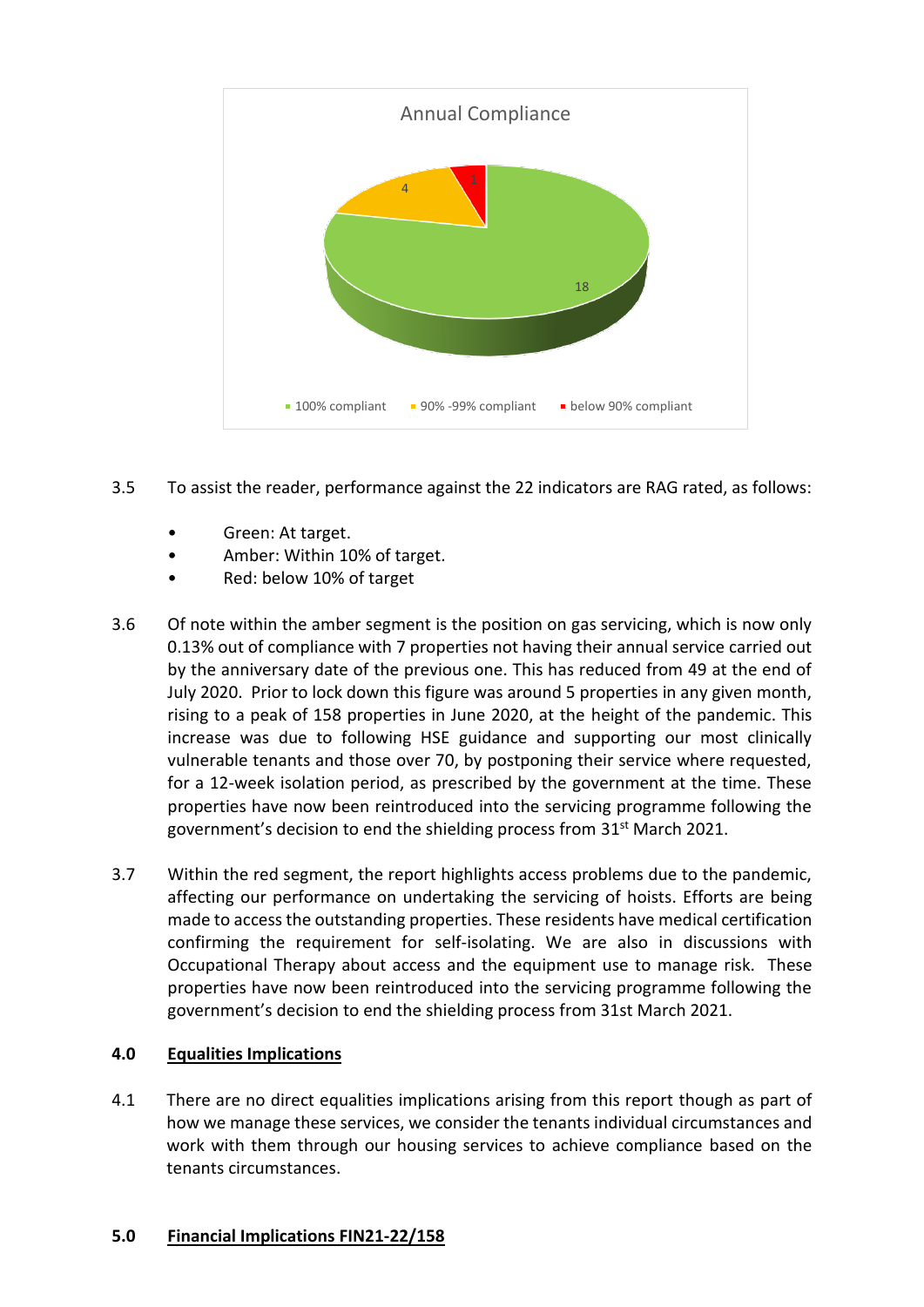

- 3.5 To assist the reader, performance against the 22 indicators are RAG rated, as follows:
	- Green: At target.
	- Amber: Within 10% of target.
	- Red: below 10% of target
- 3.6 Of note within the amber segment is the position on gas servicing, which is now only 0.13% out of compliance with 7 properties not having their annual service carried out by the anniversary date of the previous one. This has reduced from 49 at the end of July 2020. Prior to lock down this figure was around 5 properties in any given month, rising to a peak of 158 properties in June 2020, at the height of the pandemic. This increase was due to following HSE guidance and supporting our most clinically vulnerable tenants and those over 70, by postponing their service where requested, for a 12-week isolation period, as prescribed by the government at the time. These properties have now been reintroduced into the servicing programme following the government's decision to end the shielding process from 31<sup>st</sup> March 2021.
- 3.7 Within the red segment, the report highlights access problems due to the pandemic, affecting our performance on undertaking the servicing of hoists. Efforts are being made to access the outstanding properties. These residents have medical certification confirming the requirement for self-isolating. We are also in discussions with Occupational Therapy about access and the equipment use to manage risk. These properties have now been reintroduced into the servicing programme following the government's decision to end the shielding process from 31st March 2021.

#### **4.0 Equalities Implications**

4.1 There are no direct equalities implications arising from this report though as part of how we manage these services, we consider the tenants individual circumstances and work with them through our housing services to achieve compliance based on the tenants circumstances.

#### **5.0 Financial Implications FIN21-22/158**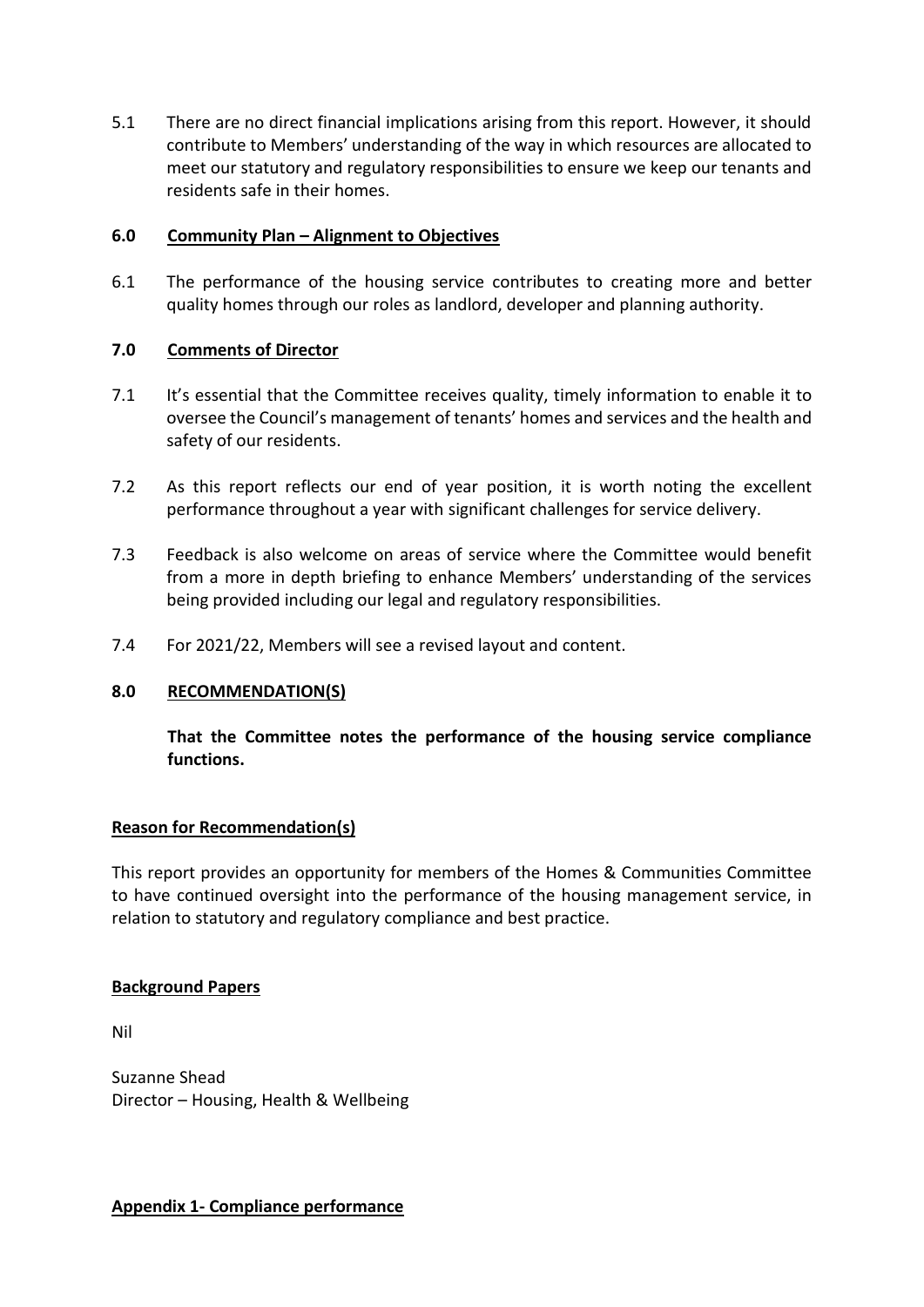5.1 There are no direct financial implications arising from this report. However, it should contribute to Members' understanding of the way in which resources are allocated to meet our statutory and regulatory responsibilities to ensure we keep our tenants and residents safe in their homes.

#### **6.0 Community Plan – Alignment to Objectives**

6.1 The performance of the housing service contributes to creating more and better quality homes through our roles as landlord, developer and planning authority.

#### **7.0 Comments of Director**

- 7.1 It's essential that the Committee receives quality, timely information to enable it to oversee the Council's management of tenants' homes and services and the health and safety of our residents.
- 7.2 As this report reflects our end of year position, it is worth noting the excellent performance throughout a year with significant challenges for service delivery.
- 7.3 Feedback is also welcome on areas of service where the Committee would benefit from a more in depth briefing to enhance Members' understanding of the services being provided including our legal and regulatory responsibilities.
- 7.4 For 2021/22, Members will see a revised layout and content.

#### **8.0 RECOMMENDATION(S)**

**That the Committee notes the performance of the housing service compliance functions.**

#### **Reason for Recommendation(s)**

This report provides an opportunity for members of the Homes & Communities Committee to have continued oversight into the performance of the housing management service, in relation to statutory and regulatory compliance and best practice.

#### **Background Papers**

Nil

Suzanne Shead Director – Housing, Health & Wellbeing

**Appendix 1- Compliance performance**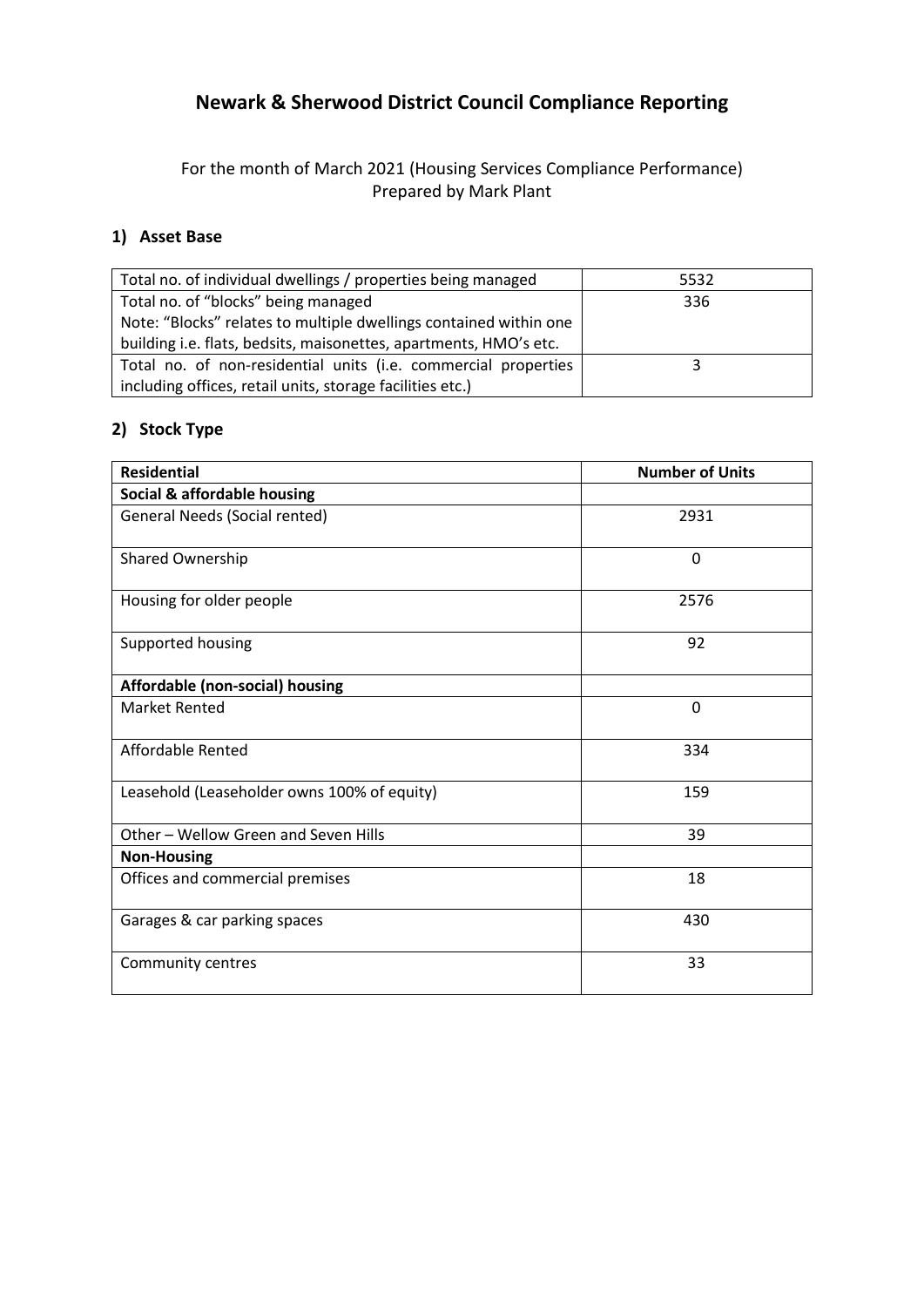# **Newark & Sherwood District Council Compliance Reporting**

For the month of March 2021 (Housing Services Compliance Performance) Prepared by Mark Plant

### **1) Asset Base**

| Total no. of individual dwellings / properties being managed      | 5532 |
|-------------------------------------------------------------------|------|
| Total no. of "blocks" being managed                               | 336  |
| Note: "Blocks" relates to multiple dwellings contained within one |      |
| building i.e. flats, bedsits, maisonettes, apartments, HMO's etc. |      |
| Total no. of non-residential units (i.e. commercial properties    |      |
| including offices, retail units, storage facilities etc.)         |      |

## **2) Stock Type**

| <b>Residential</b>                          | <b>Number of Units</b> |
|---------------------------------------------|------------------------|
| Social & affordable housing                 |                        |
| <b>General Needs (Social rented)</b>        | 2931                   |
| Shared Ownership                            | $\Omega$               |
| Housing for older people                    | 2576                   |
| Supported housing                           | 92                     |
| Affordable (non-social) housing             |                        |
| <b>Market Rented</b>                        | $\mathbf 0$            |
| Affordable Rented                           | 334                    |
| Leasehold (Leaseholder owns 100% of equity) | 159                    |
| Other - Wellow Green and Seven Hills        | 39                     |
| <b>Non-Housing</b>                          |                        |
| Offices and commercial premises             | 18                     |
| Garages & car parking spaces                | 430                    |
| Community centres                           | 33                     |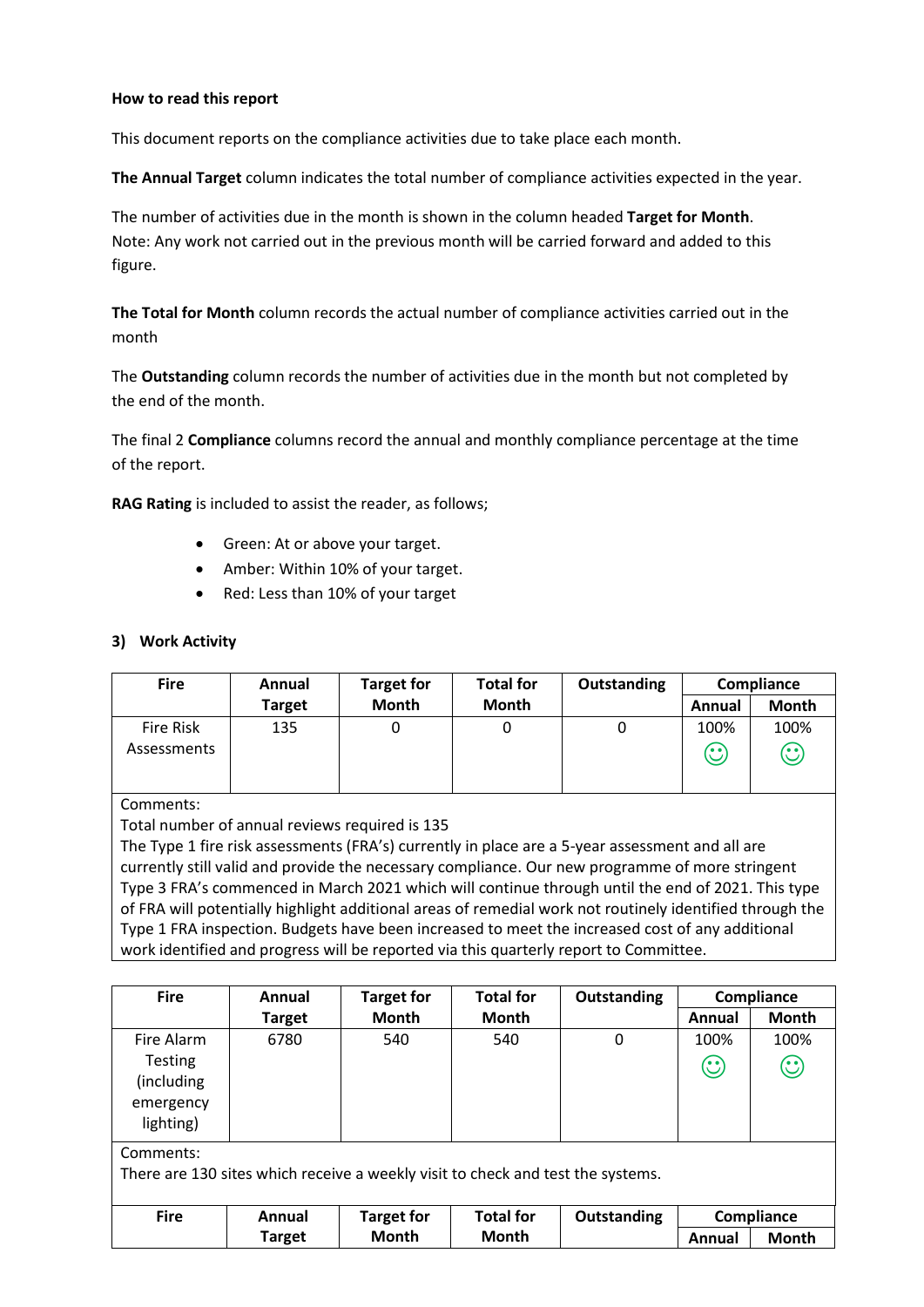#### **How to read this report**

This document reports on the compliance activities due to take place each month.

**The Annual Target** column indicates the total number of compliance activities expected in the year.

The number of activities due in the month is shown in the column headed **Target for Month**. Note: Any work not carried out in the previous month will be carried forward and added to this figure.

**The Total for Month** column records the actual number of compliance activities carried out in the month

The **Outstanding** column records the number of activities due in the month but not completed by the end of the month.

The final 2 **Compliance** columns record the annual and monthly compliance percentage at the time of the report.

**RAG Rating** is included to assist the reader, as follows;

- Green: At or above your target.
- Amber: Within 10% of your target.
- Red: Less than 10% of your target

#### **3) Work Activity**

| <b>Fire</b>              | Annual | <b>Target for</b> | <b>Total for</b> | Outstanding | Compliance             |                      |
|--------------------------|--------|-------------------|------------------|-------------|------------------------|----------------------|
|                          | Target | Month             | <b>Month</b>     |             | Annual                 | <b>Month</b>         |
| Fire Risk<br>Assessments | 135    |                   |                  |             | 100%<br><b>65</b><br>ے | 100%<br>$\mathbb{C}$ |

Comments:

Total number of annual reviews required is 135

The Type 1 fire risk assessments (FRA's) currently in place are a 5-year assessment and all are currently still valid and provide the necessary compliance. Our new programme of more stringent Type 3 FRA's commenced in March 2021 which will continue through until the end of 2021. This type of FRA will potentially highlight additional areas of remedial work not routinely identified through the Type 1 FRA inspection. Budgets have been increased to meet the increased cost of any additional work identified and progress will be reported via this quarterly report to Committee.

| <b>Fire</b>    | Annual                                                                          | <b>Target for</b> | <b>Total for</b> | Outstanding |         | Compliance   |  |
|----------------|---------------------------------------------------------------------------------|-------------------|------------------|-------------|---------|--------------|--|
|                | Target                                                                          | <b>Month</b>      | <b>Month</b>     |             | Annual  | <b>Month</b> |  |
| Fire Alarm     | 6780                                                                            | 540               | 540              | 0           | 100%    | 100%         |  |
| <b>Testing</b> |                                                                                 |                   |                  |             | $\odot$ | $\odot$      |  |
| (including     |                                                                                 |                   |                  |             |         |              |  |
| emergency      |                                                                                 |                   |                  |             |         |              |  |
| lighting)      |                                                                                 |                   |                  |             |         |              |  |
| Comments:      |                                                                                 |                   |                  |             |         |              |  |
|                | There are 130 sites which receive a weekly visit to check and test the systems. |                   |                  |             |         |              |  |
|                |                                                                                 |                   |                  |             |         |              |  |
| <b>Fire</b>    | Annual                                                                          | <b>Target for</b> | <b>Total for</b> | Outstanding |         | Compliance   |  |
|                | <b>Target</b>                                                                   | <b>Month</b>      | <b>Month</b>     |             | Annual  | <b>Month</b> |  |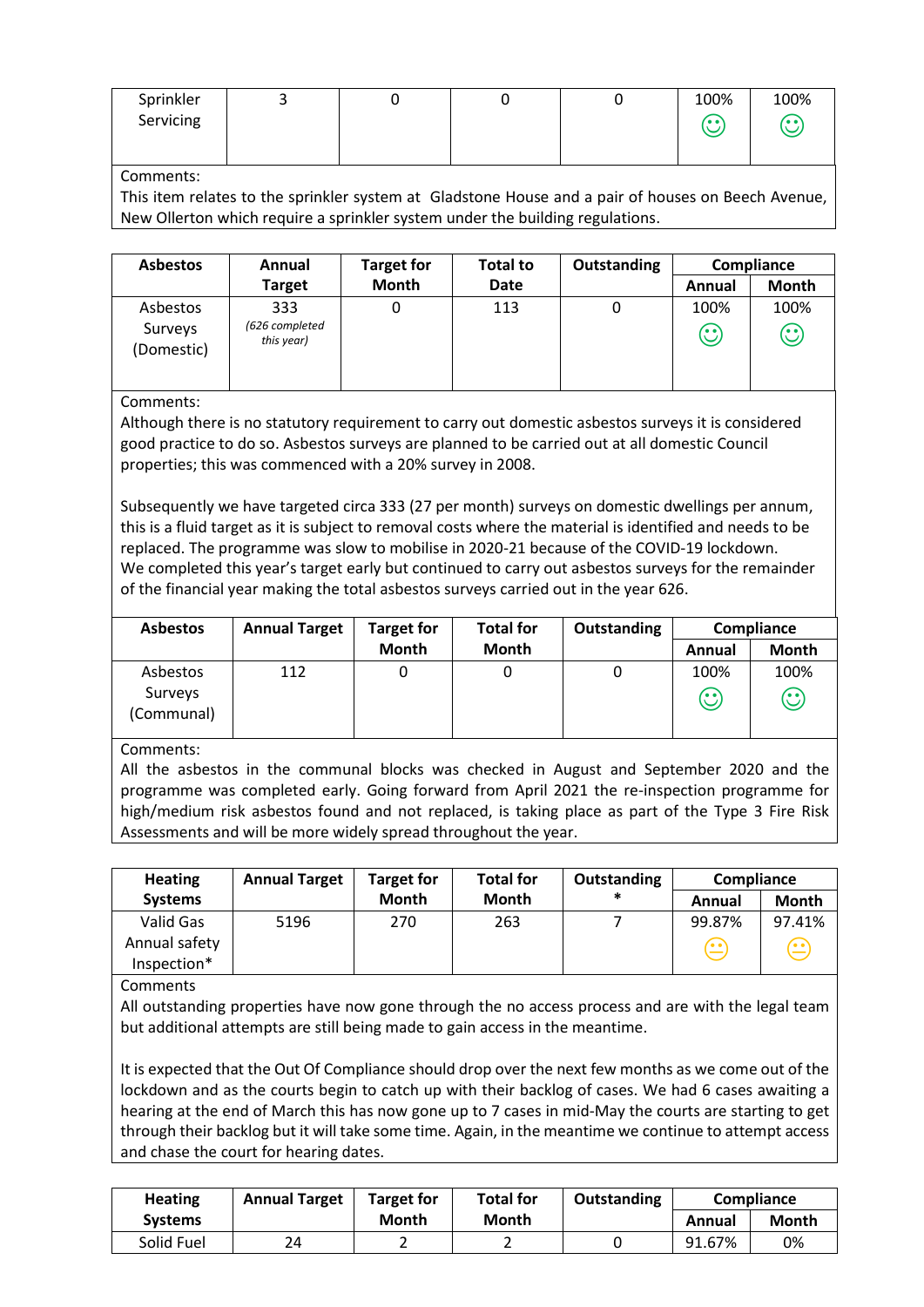| Sprinkler | - |  | 100%   | 100%  |
|-----------|---|--|--------|-------|
| Servicing |   |  | 7. e v | ، • ا |
|           |   |  |        |       |

#### Comments:

This item relates to the sprinkler system at Gladstone House and a pair of houses on Beech Avenue, New Ollerton which require a sprinkler system under the building regulations.

| <b>Asbestos</b>                   | Annual                              | <b>Target for</b> | <b>Total to</b> | Outstanding | Compliance      |                      |
|-----------------------------------|-------------------------------------|-------------------|-----------------|-------------|-----------------|----------------------|
|                                   | <b>Target</b>                       | Month             | Date            |             | Annual          | Month                |
| Asbestos<br>Surveys<br>(Domestic) | 333<br>(626 completed<br>this year) |                   | 113             | U           | 100%<br>$\odot$ | 100%<br>$\mathbb{C}$ |

Comments:

Although there is no statutory requirement to carry out domestic asbestos surveys it is considered good practice to do so. Asbestos surveys are planned to be carried out at all domestic Council properties; this was commenced with a 20% survey in 2008.

Subsequently we have targeted circa 333 (27 per month) surveys on domestic dwellings per annum, this is a fluid target as it is subject to removal costs where the material is identified and needs to be replaced. The programme was slow to mobilise in 2020-21 because of the COVID-19 lockdown. We completed this year's target early but continued to carry out asbestos surveys for the remainder of the financial year making the total asbestos surveys carried out in the year 626.

| <b>Asbestos</b>                   | <b>Annual Target</b> | <b>Target for</b> | <b>Total for</b> | <b>Outstanding</b> | Compliance    |                                         |
|-----------------------------------|----------------------|-------------------|------------------|--------------------|---------------|-----------------------------------------|
|                                   |                      | <b>Month</b>      | <b>Month</b>     |                    | Annual        | <b>Month</b>                            |
| Asbestos<br>Surveys<br>(Communal) | 112                  |                   |                  |                    | 100%<br>′• •` | 100%<br>$\mathbf{\widehat{\mathbb{C}}}$ |

Comments:

All the asbestos in the communal blocks was checked in August and September 2020 and the programme was completed early. Going forward from April 2021 the re-inspection programme for high/medium risk asbestos found and not replaced, is taking place as part of the Type 3 Fire Risk Assessments and will be more widely spread throughout the year.

| <b>Heating</b>                            | <b>Annual Target</b> | <b>Target for</b> | <b>Total for</b> | Outstanding | Compliance                       |                       |
|-------------------------------------------|----------------------|-------------------|------------------|-------------|----------------------------------|-----------------------|
| <b>Systems</b>                            |                      | <b>Month</b>      | Month            | *           | Annual                           | <b>Month</b>          |
| Valid Gas<br>Annual safety<br>Inspection* | 5196                 | 270               | 263              |             | 99.87%<br>$\widehat{\mathbf{G}}$ | 97.41%<br>( <u>∙∙</u> |

Comments

All outstanding properties have now gone through the no access process and are with the legal team but additional attempts are still being made to gain access in the meantime.

It is expected that the Out Of Compliance should drop over the next few months as we come out of the lockdown and as the courts begin to catch up with their backlog of cases. We had 6 cases awaiting a hearing at the end of March this has now gone up to 7 cases in mid-May the courts are starting to get through their backlog but it will take some time. Again, in the meantime we continue to attempt access and chase the court for hearing dates.

| <b>Heating</b> | <b>Annual Target</b> | <b>Target for</b> | <b>Total for</b> | Outstanding | <b>Compliance</b> |       |
|----------------|----------------------|-------------------|------------------|-------------|-------------------|-------|
| <b>Systems</b> |                      | Month             | Month            |             | Annual            | Month |
| Solid Fuel     | 24                   |                   |                  |             | 91.67%            | 0%    |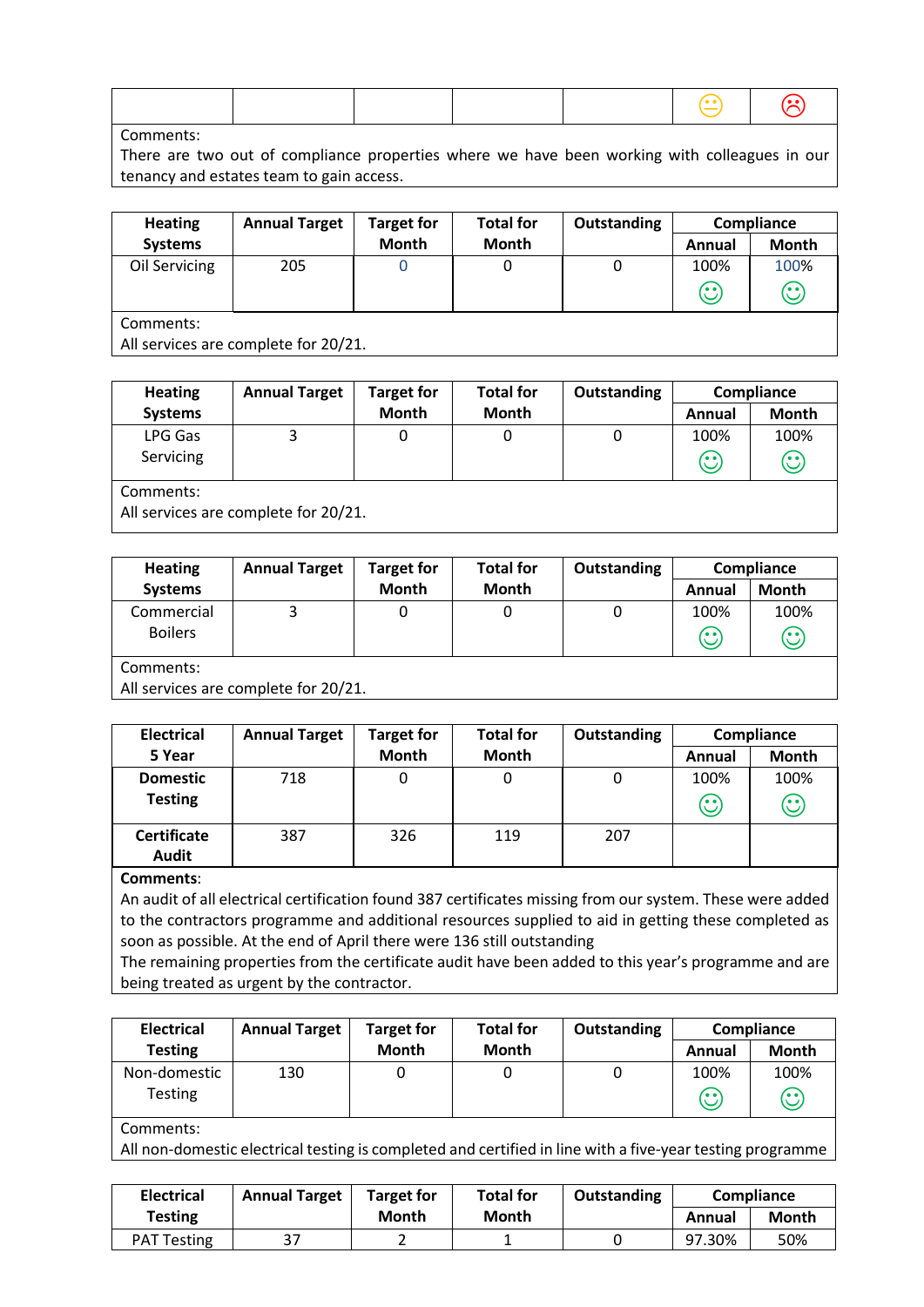|--|

Comments:

There are two out of compliance properties where we have been working with colleagues in our tenancy and estates team to gain access.

| <b>Heating</b> | <b>Annual Target</b>                 | <b>Target for</b> | <b>Total for</b> | Outstanding |         | Compliance |  |
|----------------|--------------------------------------|-------------------|------------------|-------------|---------|------------|--|
| <b>Systems</b> |                                      | <b>Month</b>      | <b>Month</b>     |             | Annual  | Month      |  |
| Oil Servicing  | 205                                  |                   |                  | 0           | 100%    | 100%       |  |
|                |                                      |                   |                  |             | $\odot$ | $\odot$    |  |
| Comments:      |                                      |                   |                  |             |         |            |  |
|                | All services are complete for 20/21. |                   |                  |             |         |            |  |

| <b>Heating</b> | <b>Annual Target</b>                 | <b>Target for</b> | <b>Total for</b> | <b>Outstanding</b> | Compliance   |              |  |  |  |
|----------------|--------------------------------------|-------------------|------------------|--------------------|--------------|--------------|--|--|--|
| <b>Systems</b> |                                      | <b>Month</b>      | <b>Month</b>     |                    | Annual       | <b>Month</b> |  |  |  |
| LPG Gas        |                                      | 0                 | 0                | 0                  | 100%         | 100%         |  |  |  |
| Servicing      |                                      |                   |                  |                    | $\mathbf{C}$ | $\odot$      |  |  |  |
| Comments:      |                                      |                   |                  |                    |              |              |  |  |  |
|                | All services are complete for 20/21. |                   |                  |                    |              |              |  |  |  |

| <b>Heating</b> | <b>Annual Target</b>                 | <b>Target for</b> | <b>Total for</b> | <b>Outstanding</b> | Compliance |              |  |  |
|----------------|--------------------------------------|-------------------|------------------|--------------------|------------|--------------|--|--|
| <b>Systems</b> |                                      | Month             | <b>Month</b>     |                    | Annual     | <b>Month</b> |  |  |
| Commercial     |                                      | 0                 |                  | 0                  | 100%       | 100%         |  |  |
| <b>Boilers</b> |                                      |                   |                  |                    | $\odot$    | $\odot$      |  |  |
| Comments:      |                                      |                   |                  |                    |            |              |  |  |
|                | All services are complete for 20/21. |                   |                  |                    |            |              |  |  |

| <b>Electrical</b>                  | <b>Annual Target</b> | <b>Target for</b> | <b>Total for</b> | Outstanding |                 | Compliance           |
|------------------------------------|----------------------|-------------------|------------------|-------------|-----------------|----------------------|
| 5 Year                             |                      | Month             | <b>Month</b>     |             | Annual          | <b>Month</b>         |
| <b>Domestic</b><br><b>Testing</b>  | 718                  | 0                 |                  | 0           | 100%<br>$\odot$ | 100%<br>$\mathbb{C}$ |
| <b>Certificate</b><br><b>Audit</b> | 387                  | 326               | 119              | 207         |                 |                      |

#### **Comments**:

An audit of all electrical certification found 387 certificates missing from our system. These were added to the contractors programme and additional resources supplied to aid in getting these completed as soon as possible. At the end of April there were 136 still outstanding

The remaining properties from the certificate audit have been added to this year's programme and are being treated as urgent by the contractor.

| <b>Electrical</b> | <b>Annual Target</b> | <b>Target for</b> | <b>Total for</b> | Outstanding | <b>Compliance</b> |                         |
|-------------------|----------------------|-------------------|------------------|-------------|-------------------|-------------------------|
| <b>Testing</b>    |                      | Month             | <b>Month</b>     |             | Annual            | Month                   |
| Non-domestic      | 130                  |                   |                  |             | 100%              | 100%                    |
| Testing           |                      |                   |                  |             | (. .              | $\mathbb{C}% _{0}^{2d}$ |

Comments:

All non-domestic electrical testing is completed and certified in line with a five-year testing programme

| <b>Electrical</b>  | <b>Annual Target</b> | <b>Target for</b> | <b>Total for</b> | Outstanding | <b>Compliance</b> |       |
|--------------------|----------------------|-------------------|------------------|-------------|-------------------|-------|
| <b>Testing</b>     |                      | Month             | Month            |             | Annual            | Month |
| <b>PAT Testing</b> | ד כ<br>، د           |                   |                  |             | 97.30%            | 50%   |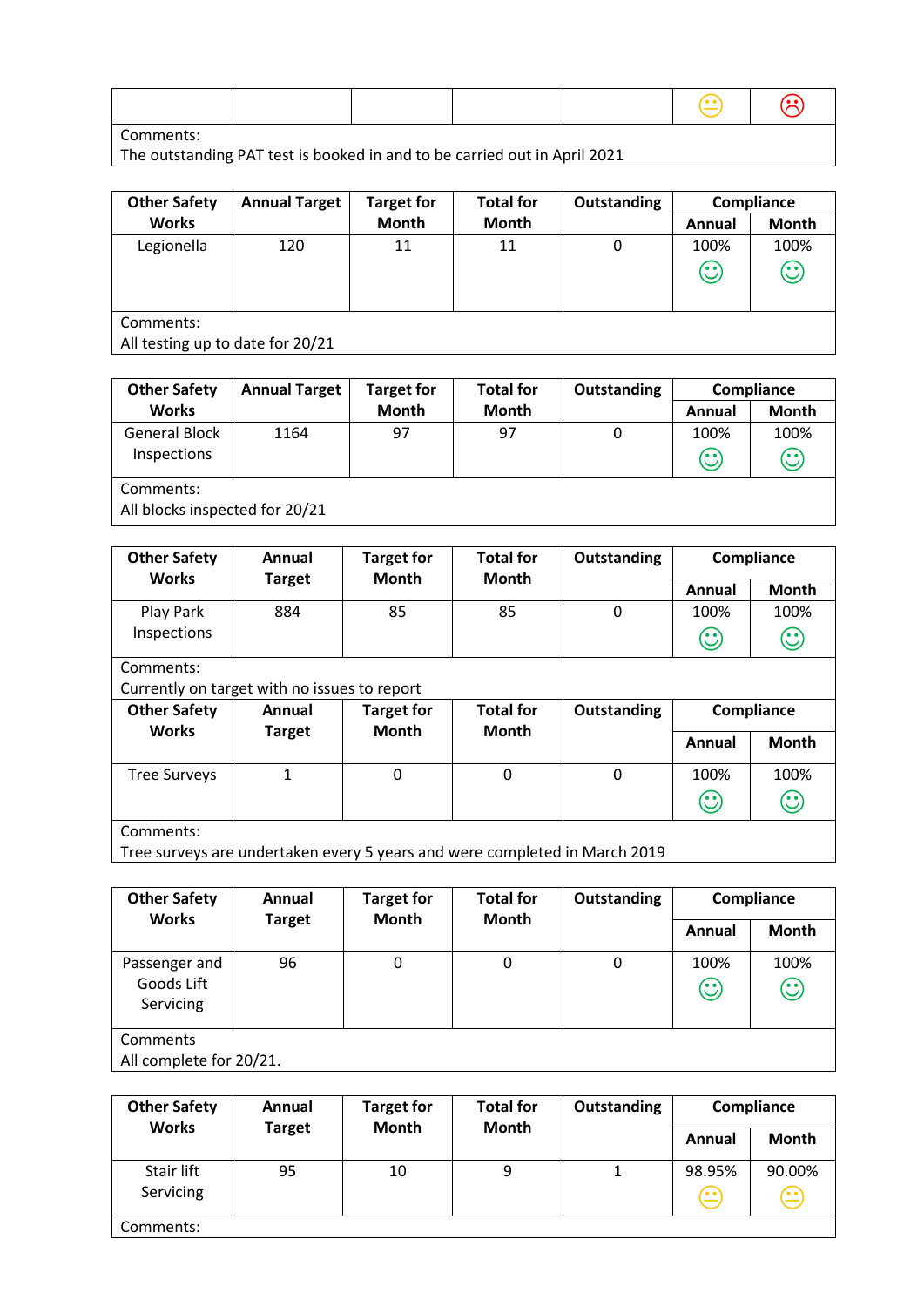Comments:

The outstanding PAT test is booked in and to be carried out in April 2021

| <b>Other Safety</b>              | <b>Annual Target</b> | <b>Target for</b> | <b>Total for</b> | Outstanding | Compliance |         |
|----------------------------------|----------------------|-------------------|------------------|-------------|------------|---------|
| <b>Works</b>                     |                      | <b>Month</b>      | <b>Month</b>     |             | Annual     | Month   |
| Legionella                       | 120                  | 11                | 11               | 0           | 100%       | 100%    |
|                                  |                      |                   |                  |             | $\odot$    | $\odot$ |
|                                  |                      |                   |                  |             |            |         |
| Comments:                        |                      |                   |                  |             |            |         |
| All testing up to date for 20/21 |                      |                   |                  |             |            |         |

| <b>Other Safety</b>                         | <b>Annual Target</b> | <b>Target for</b> | <b>Total for</b> | Outstanding | Compliance      |                 |  |  |
|---------------------------------------------|----------------------|-------------------|------------------|-------------|-----------------|-----------------|--|--|
| <b>Works</b>                                |                      | <b>Month</b>      | <b>Month</b>     |             | Annual          | <b>Month</b>    |  |  |
| <b>General Block</b><br>Inspections         | 1164                 | 97                | 97               | 0           | 100%<br>$\odot$ | 100%<br>$\odot$ |  |  |
| Comments:<br>All blocks inspected for 20/21 |                      |                   |                  |             |                 |                 |  |  |

| <b>Other Safety</b>                          | Annual        | <b>Target for</b> | <b>Total for</b><br><b>Month</b> | Outstanding |                                                          | Compliance   |  |  |
|----------------------------------------------|---------------|-------------------|----------------------------------|-------------|----------------------------------------------------------|--------------|--|--|
| <b>Works</b>                                 | <b>Target</b> | <b>Month</b>      |                                  |             | Annual                                                   | <b>Month</b> |  |  |
| Play Park                                    | 884           | 85                | 85                               | 0           | 100%                                                     | 100%         |  |  |
| Inspections                                  |               |                   |                                  |             | $\mathbf{\large \text{(}}\mathbf{\large \cdot \text{)}}$ | $\odot$      |  |  |
| Comments:                                    |               |                   |                                  |             |                                                          |              |  |  |
| Currently on target with no issues to report |               |                   |                                  |             |                                                          |              |  |  |
| <b>Other Safety</b>                          | Annual        | <b>Target for</b> | <b>Total for</b>                 | Outstanding |                                                          | Compliance   |  |  |
| <b>Works</b>                                 | <b>Target</b> | <b>Month</b>      | <b>Month</b>                     |             |                                                          |              |  |  |
|                                              |               |                   |                                  |             | Annual                                                   | <b>Month</b> |  |  |
| <b>Tree Surveys</b>                          | 1             | $\mathbf{0}$      | $\Omega$                         | $\Omega$    | 100%                                                     | 100%         |  |  |
|                                              |               |                   |                                  |             | $\mathbf{\large \text{(}}\cdot \text{)}$                 | $\odot$      |  |  |
| Comments:                                    |               |                   |                                  |             |                                                          |              |  |  |

Tree surveys are undertaken every 5 years and were completed in March 2019

| <b>Other Safety</b><br><b>Works</b>      | Annual<br><b>Target</b> | <b>Target for</b><br>Month | <b>Total for</b><br><b>Month</b> | Outstanding | Compliance      |                 |
|------------------------------------------|-------------------------|----------------------------|----------------------------------|-------------|-----------------|-----------------|
|                                          |                         |                            |                                  |             | Annual          | <b>Month</b>    |
| Passenger and<br>Goods Lift<br>Servicing | 96                      | 0                          | $\Omega$                         | 0           | 100%<br>$\odot$ | 100%<br>$\odot$ |
| Comments<br>All complete for 20/21.      |                         |                            |                                  |             |                 |                 |

| <b>Other Safety</b><br><b>Works</b> | Annual        | <b>Target for</b><br><b>Month</b> | <b>Total for</b><br><b>Month</b> | <b>Outstanding</b> |                                          | Compliance            |
|-------------------------------------|---------------|-----------------------------------|----------------------------------|--------------------|------------------------------------------|-----------------------|
|                                     | <b>Target</b> |                                   |                                  |                    | Annual                                   | Month                 |
| Stair lift<br>Servicing             | 95            | 10                                | 9                                |                    | 98.95%<br>$\textcircled{\scriptsize{1}}$ | 90.00%<br>$\bigoplus$ |
| Comments:                           |               |                                   |                                  |                    |                                          |                       |